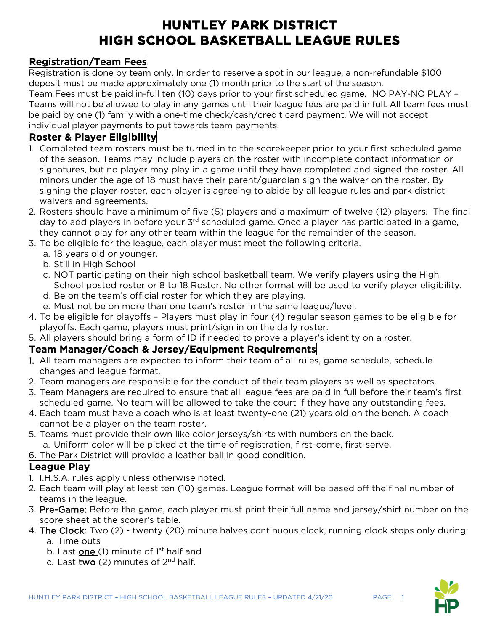# **HUNTLEY PARK DISTRICT HIGH SCHOOL BASKETBALL LEAGUE RULES**

### Registration/Team Fees

Registration is done by team only. In order to reserve a spot in our league, a non-refundable \$100 deposit must be made approximately one (1) month prior to the start of the season.

Team Fees must be paid in-full ten (10) days prior to your first scheduled game. NO PAY-NO PLAY – Teams will not be allowed to play in any games until their league fees are paid in full. All team fees must be paid by one (1) family with a one-time check/cash/credit card payment. We will not accept individual player payments to put towards team payments.

### Roster & Player Eligibility

- 1. Completed team rosters must be turned in to the scorekeeper prior to your first scheduled game of the season. Teams may include players on the roster with incomplete contact information or signatures, but no player may play in a game until they have completed and signed the roster. All minors under the age of 18 must have their parent/guardian sign the waiver on the roster. By signing the player roster, each player is agreeing to abide by all league rules and park district waivers and agreements.
- 2. Rosters should have a minimum of five (5) players and a maximum of twelve (12) players. The final day to add players in before your 3<sup>rd</sup> scheduled game. Once a player has participated in a game, they cannot play for any other team within the league for the remainder of the season.
- 3. To be eligible for the league, each player must meet the following criteria.
	- a. 18 years old or younger.
	- b. Still in High School
	- c. NOT participating on their high school basketball team. We verify players using the High School posted roster or 8 to 18 Roster. No other format will be used to verify player eligibility.
	- d. Be on the team's official roster for which they are playing.
	- e. Must not be on more than one team's roster in the same league/level.
- 4. To be eligible for playoffs Players must play in four (4) regular season games to be eligible for playoffs. Each game, players must print/sign in on the daily roster.
- 5. All players should bring a form of ID if needed to prove a player's identity on a roster.

#### Team Manager/Coach & Jersey/Equipment Requirements

- 1. All team managers are expected to inform their team of all rules, game schedule, schedule changes and league format.
- 2. Team managers are responsible for the conduct of their team players as well as spectators.
- 3. Team Managers are required to ensure that all league fees are paid in full before their team's first scheduled game. No team will be allowed to take the court if they have any outstanding fees.
- 4. Each team must have a coach who is at least twenty-one (21) years old on the bench. A coach cannot be a player on the team roster.
- 5. Teams must provide their own like color jerseys/shirts with numbers on the back. a. Uniform color will be picked at the time of registration, first-come, first-serve.
- 6. The Park District will provide a leather ball in good condition.

# League Play

- 1. I.H.S.A. rules apply unless otherwise noted.
- 2. Each team will play at least ten (10) games. League format will be based off the final number of teams in the league.
- 3. Pre-Game: Before the game, each player must print their full name and jersey/shirt number on the score sheet at the scorer's table.
- 4. The Clock: Two (2) twenty (20) minute halves continuous clock, running clock stops only during: a. Time outs
	- b. Last **one** (1) minute of 1<sup>st</sup> half and
	- c. Last two  $(2)$  minutes of  $2<sup>nd</sup>$  half.

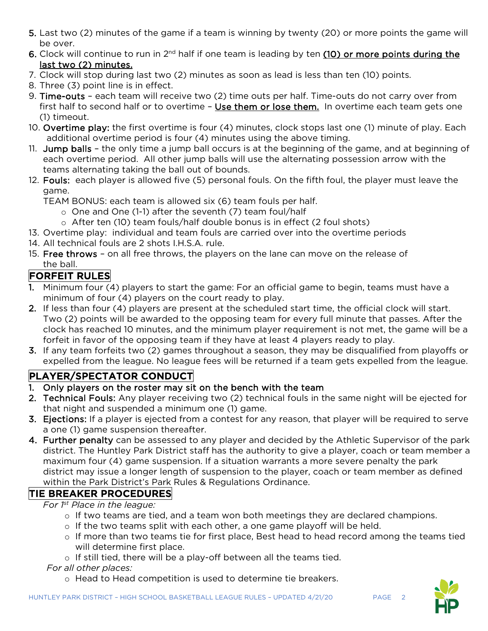- 5. Last two (2) minutes of the game if a team is winning by twenty (20) or more points the game will be over.
- 6. Clock will continue to run in 2<sup>nd</sup> half if one team is leading by ten (10) or more points during the last two (2) minutes.
- 7. Clock will stop during last two (2) minutes as soon as lead is less than ten (10) points.
- 8. Three (3) point line is in effect.
- 9. Time-outs each team will receive two (2) time outs per half. Time-outs do not carry over from first half to second half or to overtime - Use them or lose them. In overtime each team gets one (1) timeout.
- 10. Overtime play: the first overtime is four (4) minutes, clock stops last one (1) minute of play. Each additional overtime period is four (4) minutes using the above timing.
- 11. Jump balls the only time a jump ball occurs is at the beginning of the game, and at beginning of each overtime period. All other jump balls will use the alternating possession arrow with the teams alternating taking the ball out of bounds.
- 12. Fouls: each player is allowed five (5) personal fouls. On the fifth foul, the player must leave the game.

TEAM BONUS: each team is allowed six (6) team fouls per half.

- o One and One (1-1) after the seventh (7) team foul/half
- o After ten (10) team fouls/half double bonus is in effect (2 foul shots)
- 13. Overtime play: individual and team fouls are carried over into the overtime periods
- 14. All technical fouls are 2 shots I.H.S.A. rule.
- 15. Free throws on all free throws, the players on the lane can move on the release of the ball.

### FORFEIT RULES

- 1. Minimum four (4) players to start the game: For an official game to begin, teams must have a minimum of four (4) players on the court ready to play.
- 2. If less than four (4) players are present at the scheduled start time, the official clock will start. Two (2) points will be awarded to the opposing team for every full minute that passes. After the clock has reached 10 minutes, and the minimum player requirement is not met, the game will be a forfeit in favor of the opposing team if they have at least 4 players ready to play.
- 3. If any team forfeits two (2) games throughout a season, they may be disqualified from playoffs or expelled from the league. No league fees will be returned if a team gets expelled from the league.

# PLAYER/SPECTATOR CONDUCT

- 1. Only players on the roster may sit on the bench with the team
- 2. Technical Fouls: Any player receiving two (2) technical fouls in the same night will be ejected for that night and suspended a minimum one (1) game.
- 3. Ejections: If a player is ejected from a contest for any reason, that player will be required to serve a one (1) game suspension thereafter.
- 4. Further penalty can be assessed to any player and decided by the Athletic Supervisor of the park district. The Huntley Park District staff has the authority to give a player, coach or team member a maximum four (4) game suspension. If a situation warrants a more severe penalty the park district may issue a longer length of suspension to the player, coach or team member as defined within the Park District's Park Rules & Regulations Ordinance.

### TIE BREAKER PROCEDURES

*For 1st Place in the league:*

- o If two teams are tied, and a team won both meetings they are declared champions.
- $\circ$  If the two teams split with each other, a one game playoff will be held.
- o If more than two teams tie for first place, Best head to head record among the teams tied will determine first place.
- o If still tied, there will be a play-off between all the teams tied.

#### *For all other places:*

o Head to Head competition is used to determine tie breakers.